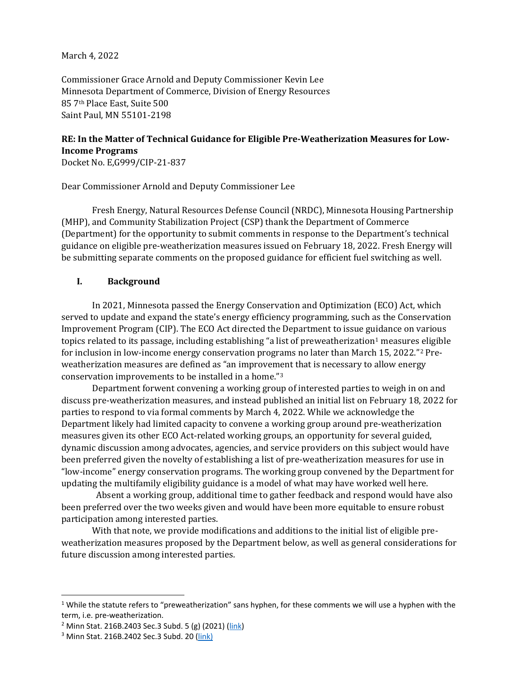March 4, 2022

Commissioner Grace Arnold and Deputy Commissioner Kevin Lee Minnesota Department of Commerce, Division of Energy Resources 85 7th Place East, Suite 500 Saint Paul, MN 55101-2198

# **RE: In the Matter of Technical Guidance for Eligible Pre-Weatherization Measures for Low-Income Programs**

Docket No. E,G999/CIP-21-837

Dear Commissioner Arnold and Deputy Commissioner Lee

Fresh Energy, Natural Resources Defense Council (NRDC), Minnesota Housing Partnership (MHP), and Community Stabilization Project (CSP) thank the Department of Commerce (Department) for the opportunity to submit comments in response to the Department's technical guidance on eligible pre-weatherization measures issued on February 18, 2022. Fresh Energy will be submitting separate comments on the proposed guidance for efficient fuel switching as well.

### **I. Background**

In 2021, Minnesota passed the Energy Conservation and Optimization (ECO) Act, which served to update and expand the state's energy efficiency programming, such as the Conservation Improvement Program (CIP). The ECO Act directed the Department to issue guidance on various topics related to its passage, including establishing "a list of preweatherization<sup>[1](#page-0-0)</sup> measures eligible for inclusion in low-income energy conservation programs no later than March 15, 2022."[2](#page-0-1) Preweatherization measures are defined as "an improvement that is necessary to allow energy conservation improvements to be installed in a home."[3](#page-0-2)

Department forwent convening a working group of interested parties to weigh in on and discuss pre-weatherization measures, and instead published an initial list on February 18, 2022 for parties to respond to via formal comments by March 4, 2022. While we acknowledge the Department likely had limited capacity to convene a working group around pre-weatherization measures given its other ECO Act-related working groups, an opportunity for several guided, dynamic discussion among advocates, agencies, and service providers on this subject would have been preferred given the novelty of establishing a list of pre-weatherization measures for use in "low-income" energy conservation programs. The working group convened by the Department for updating the multifamily eligibility guidance is a model of what may have worked well here.

 Absent a working group, additional time to gather feedback and respond would have also been preferred over the two weeks given and would have been more equitable to ensure robust participation among interested parties.

With that note, we provide modifications and additions to the initial list of eligible preweatherization measures proposed by the Department below, as well as general considerations for future discussion among interested parties.

<span id="page-0-0"></span> $1$  While the statute refers to "preweatherization" sans hyphen, for these comments we will use a hyphen with the term, i.e. pre-weatherization.

<span id="page-0-1"></span><sup>2</sup> Minn Stat. 216B.2403 Sec.3 Subd. 5 (g) (2021) [\(link\)](https://www.revisor.mn.gov/statutes/cite/216B.2403)

<span id="page-0-2"></span><sup>3</sup> Minn Stat. 216B.2402 Sec.3 Subd. 20 [\(link\)](https://www.revisor.mn.gov/statutes/cite/216B.2402)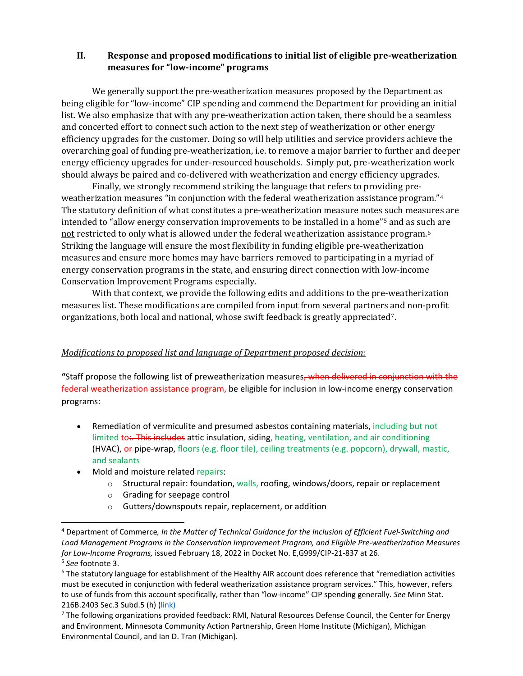### **II. Response and proposed modifications to initial list of eligible pre-weatherization measures for "low-income" programs**

We generally support the pre-weatherization measures proposed by the Department as being eligible for "low-income" CIP spending and commend the Department for providing an initial list. We also emphasize that with any pre-weatherization action taken, there should be a seamless and concerted effort to connect such action to the next step of weatherization or other energy efficiency upgrades for the customer. Doing so will help utilities and service providers achieve the overarching goal of funding pre-weatherization, i.e. to remove a major barrier to further and deeper energy efficiency upgrades for under-resourced households. Simply put, pre-weatherization work should always be paired and co-delivered with weatherization and energy efficiency upgrades.

Finally, we strongly recommend striking the language that refers to providing preweatherization measures "in conjunction with the federal weatherization assistance program."[4](#page-1-0) The statutory definition of what constitutes a pre-weatherization measure notes such measures are intended to "allow energy conservation improvements to be installed in a home"[5](#page-1-1) and as such are not restricted to only what is allowed under the federal weatherization assistance program.<sup>[6](#page-1-2)</sup> Striking the language will ensure the most flexibility in funding eligible pre-weatherization measures and ensure more homes may have barriers removed to participating in a myriad of energy conservation programs in the state, and ensuring direct connection with low-income Conservation Improvement Programs especially.

With that context, we provide the following edits and additions to the pre-weatherization measures list. These modifications are compiled from input from several partners and non-profit organizations, both local and national, whose swift feedback is greatly appreciated[7](#page-1-3).

### *Modifications to proposed list and language of Department proposed decision:*

**"**Staff propose the following list of preweatherization measures, when delivered in conjunction with the federal weatherization assistance program, be eligible for inclusion in low-income energy conservation programs:

- Remediation of vermiculite and presumed asbestos containing materials, including but not limited to:. This includes attic insulation, siding, heating, ventilation, and air conditioning (HVAC), or pipe-wrap, floors (e.g. floor tile), ceiling treatments (e.g. popcorn), drywall, mastic, and sealants
- Mold and moisture related repairs:
	- $\circ$  Structural repair: foundation, walls, roofing, windows/doors, repair or replacement
	- o Grading for seepage control
	- o Gutters/downspouts repair, replacement, or addition

<span id="page-1-0"></span><sup>4</sup> Department of Commerce*, In the Matter of Technical Guidance for the Inclusion of Efficient Fuel-Switching and Load Management Programs in the Conservation Improvement Program, and Eligible Pre-weatherization Measures for Low-Income Programs,* issued February 18, 2022 in Docket No. E,G999/CIP-21-837 at 26.<br><sup>5</sup> See footnote 3.

<span id="page-1-2"></span><span id="page-1-1"></span><sup>&</sup>lt;sup>6</sup> The statutory language for establishment of the Healthy AIR account does reference that "remediation activities must be executed in conjunction with federal weatherization assistance program services." This, however, refers to use of funds from this account specifically, rather than "low-income" CIP spending generally. *See* Minn Stat. 216B.2403 Sec.3 Subd.5 (h) [\(link\)](https://www.revisor.mn.gov/statutes/cite/216B.2402)

<span id="page-1-3"></span><sup>&</sup>lt;sup>7</sup> The following organizations provided feedback: RMI, Natural Resources Defense Council, the Center for Energy and Environment, Minnesota Community Action Partnership, Green Home Institute (Michigan), Michigan Environmental Council, and Ian D. Tran (Michigan).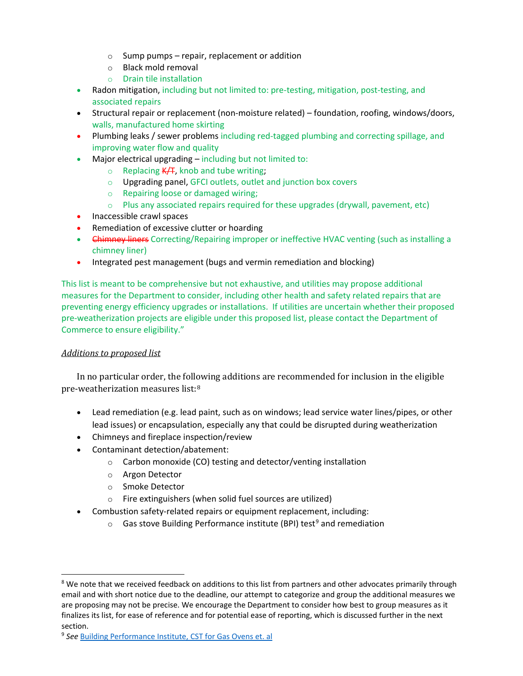- $\circ$  Sump pumps repair, replacement or addition
- o Black mold removal
- o Drain tile installation
- Radon mitigation, including but not limited to: pre-testing, mitigation, post-testing, and associated repairs
- Structural repair or replacement (non-moisture related) foundation, roofing, windows/doors, walls, manufactured home skirting
- Plumbing leaks / sewer problems including red-tagged plumbing and correcting spillage, and improving water flow and quality
- Major electrical upgrading including but not limited to:
	- $\circ$  Replacing K/T, knob and tube writing;
	- o Upgrading panel, GFCI outlets, outlet and junction box covers
	- o Repairing loose or damaged wiring;
	- $\circ$  Plus any associated repairs required for these upgrades (drywall, pavement, etc)
- Inaccessible crawl spaces
- Remediation of excessive clutter or hoarding
- Chimney liners Correcting/Repairing improper or ineffective HVAC venting (such as installing a chimney liner)
- Integrated pest management (bugs and vermin remediation and blocking)

This list is meant to be comprehensive but not exhaustive, and utilities may propose additional measures for the Department to consider, including other health and safety related repairs that are preventing energy efficiency upgrades or installations. If utilities are uncertain whether their proposed pre-weatherization projects are eligible under this proposed list, please contact the Department of Commerce to ensure eligibility."

### *Additions to proposed list*

In no particular order, the following additions are recommended for inclusion in the eligible pre-weatherization measures list:[8](#page-2-0)

- Lead remediation (e.g. lead paint, such as on windows; lead service water lines/pipes, or other lead issues) or encapsulation, especially any that could be disrupted during weatherization
- Chimneys and fireplace inspection/review
- Contaminant detection/abatement:
	- o Carbon monoxide (CO) testing and detector/venting installation
	- o Argon Detector
	- o Smoke Detector
	- o Fire extinguishers (when solid fuel sources are utilized)
- Combustion safety-related repairs or equipment replacement, including:
	- $\circ$  Gas stove Building Performance institute (BPI) test<sup>[9](#page-2-1)</sup> and remediation

<span id="page-2-0"></span><sup>&</sup>lt;sup>8</sup> We note that we received feedback on additions to this list from partners and other advocates primarily through email and with short notice due to the deadline, our attempt to categorize and group the additional measures we are proposing may not be precise. We encourage the Department to consider how best to group measures as it finalizes its list, for ease of reference and for potential ease of reporting, which is discussed further in the next section.

<span id="page-2-1"></span><sup>9</sup> *See* [Building Performance Institute, CST for Gas Ovens et. al](https://www.bpi.org/sites/default/files/CST%20PROCEDURE%20FOR%20GAS%20OVENS%2C%20DIRECT%2C%20POWER-VENTED%20OR%20VENT-FREE%20APPLIANCES.pdf)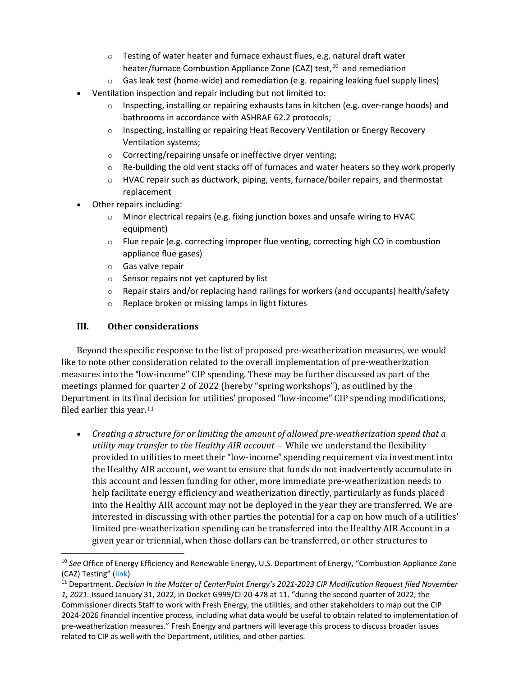- o Testing of water heater and furnace exhaust flues, e.g. natural draft water heater/furnace Combustion Appliance Zone (CAZ) test, <sup>[10](#page-3-0)</sup> and remediation
- $\circ$  Gas leak test (home-wide) and remediation (e.g. repairing leaking fuel supply lines)
- Ventilation inspection and repair including but not limited to:
	- $\circ$  Inspecting, installing or repairing exhausts fans in kitchen (e.g. over-range hoods) and bathrooms in accordance with ASHRAE 62.2 protocols;
	- o Inspecting, installing or repairing Heat Recovery Ventilation or Energy Recovery Ventilation systems;
	- o Correcting/repairing unsafe or ineffective dryer venting;
	- $\circ$  Re-building the old vent stacks off of furnaces and water heaters so they work properly
	- $\circ$  HVAC repair such as ductwork, piping, vents, furnace/boiler repairs, and thermostat replacement
- Other repairs including:
	- $\circ$  Minor electrical repairs (e.g. fixing junction boxes and unsafe wiring to HVAC equipment)
	- $\circ$  Flue repair (e.g. correcting improper flue venting, correcting high CO in combustion appliance flue gases)
	- o Gas valve repair
	- o Sensor repairs not yet captured by list
	- o Repair stairs and/or replacing hand railings for workers (and occupants) health/safety
	- o Replace broken or missing lamps in light fixtures

## **III. Other considerations**

Beyond the specific response to the list of proposed pre-weatherization measures, we would like to note other consideration related to the overall implementation of pre-weatherization measures into the "low-income" CIP spending. These may be further discussed as part of the meetings planned for quarter 2 of 2022 (hereby "spring workshops"), as outlined by the Department in its final decision for utilities' proposed "low-income" CIP spending modifications, filed earlier this year[.11](#page-3-1)

• *Creating a structure for or limiting the amount of allowed pre-weatherization spend that a utility may transfer to the Healthy AIR account –* While we understand the flexibility provided to utilities to meet their "low-income" spending requirement via investment into the Healthy AIR account, we want to ensure that funds do not inadvertently accumulate in this account and lessen funding for other, more immediate pre-weatherization needs to help facilitate energy efficiency and weatherization directly, particularly as funds placed into the Healthy AIR account may not be deployed in the year they are transferred. We are interested in discussing with other parties the potential for a cap on how much of a utilities' limited pre-weatherization spending can be transferred into the Healthy AIR Account in a given year or triennial, when those dollars can be transferred, or other structures to

<span id="page-3-0"></span><sup>10</sup> *See* Office of Energy Efficiency and Renewable Energy, U.S. Department of Energy, "Combustion Appliance Zone (CAZ) Testing" [\(link\)](https://basc.pnnl.gov/resource-guides/combustion-appliance-zone-caz-testing)

<span id="page-3-1"></span><sup>11</sup> Department, *Decision In the Matter of CenterPoint Energy's 2021-2023 CIP Modification Request filed November 1, 2021.* Issued January 31, 2022, in Docket G999/CI-20-478 at 11. "during the second quarter of 2022, the Commissioner directs Staff to work with Fresh Energy, the utilities, and other stakeholders to map out the CIP 2024-2026 financial incentive process, including what data would be useful to obtain related to implementation of pre-weatherization measures." Fresh Energy and partners will leverage this process to discuss broader issues related to CIP as well with the Department, utilities, and other parties.